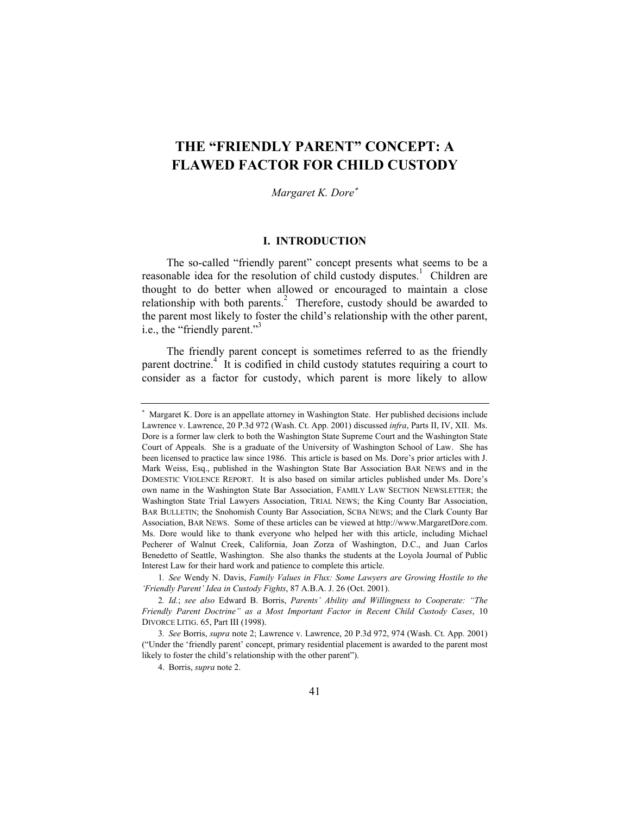# **THE "FRIENDLY PARENT" CONCEPT: A FLAWED FACTOR FOR CHILD CUSTODY**

*Margaret K. Dore*<sup>∗</sup>

# **I. INTRODUCTION**

The so-called "friendly parent" concept presents what seems to be a reasonable idea for the resolution of child custody disputes.<sup>1</sup> Children are thought to do better when allowed or encouraged to maintain a close relationship with both parents.<sup>2</sup> Therefore, custody should be awarded to the parent most likely to foster the child's relationship with the other parent, i.e., the "friendly parent."<sup>3</sup>

The friendly parent concept is sometimes referred to as the friendly parent doctrine.<sup>4</sup> It is codified in child custody statutes requiring a court to consider as a factor for custody, which parent is more likely to allow

<sup>∗</sup> Margaret K. Dore is an appellate attorney in Washington State. Her published decisions include Lawrence v. Lawrence, 20 P.3d 972 (Wash. Ct. App. 2001) discussed *infra*, Parts II, IV, XII. Ms. Dore is a former law clerk to both the Washington State Supreme Court and the Washington State Court of Appeals. She is a graduate of the University of Washington School of Law. She has been licensed to practice law since 1986. This article is based on Ms. Dore's prior articles with J. Mark Weiss, Esq., published in the Washington State Bar Association BAR NEWS and in the DOMESTIC VIOLENCE REPORT. It is also based on similar articles published under Ms. Dore's own name in the Washington State Bar Association, FAMILY LAW SECTION NEWSLETTER; the Washington State Trial Lawyers Association, TRIAL NEWS; the King County Bar Association, BAR BULLETIN; the Snohomish County Bar Association, SCBA NEWS; and the Clark County Bar Association, BAR NEWS. Some of these articles can be viewed at http://www.MargaretDore.com. Ms. Dore would like to thank everyone who helped her with this article, including Michael Pecherer of Walnut Creek, California, Joan Zorza of Washington, D.C., and Juan Carlos Benedetto of Seattle, Washington. She also thanks the students at the Loyola Journal of Public Interest Law for their hard work and patience to complete this article.

<sup>1</sup>*. See* Wendy N. Davis, *Family Values in Flux: Some Lawyers are Growing Hostile to the 'Friendly Parent' Idea in Custody Fights*, 87 A.B.A. J. 26 (Oct. 2001).

<sup>2</sup>*. Id.*; *see also* Edward B. Borris, *Parents' Ability and Willingness to Cooperate: "The Friendly Parent Doctrine" as a Most Important Factor in Recent Child Custody Cases*, 10 DIVORCE LITIG. 65, Part III (1998).

<sup>3</sup>*. See* Borris, *supra* note 2; Lawrence v. Lawrence, 20 P.3d 972, 974 (Wash. Ct. App. 2001) ("Under the 'friendly parent' concept, primary residential placement is awarded to the parent most likely to foster the child's relationship with the other parent").

 <sup>4.</sup> Borris, *supra* note 2.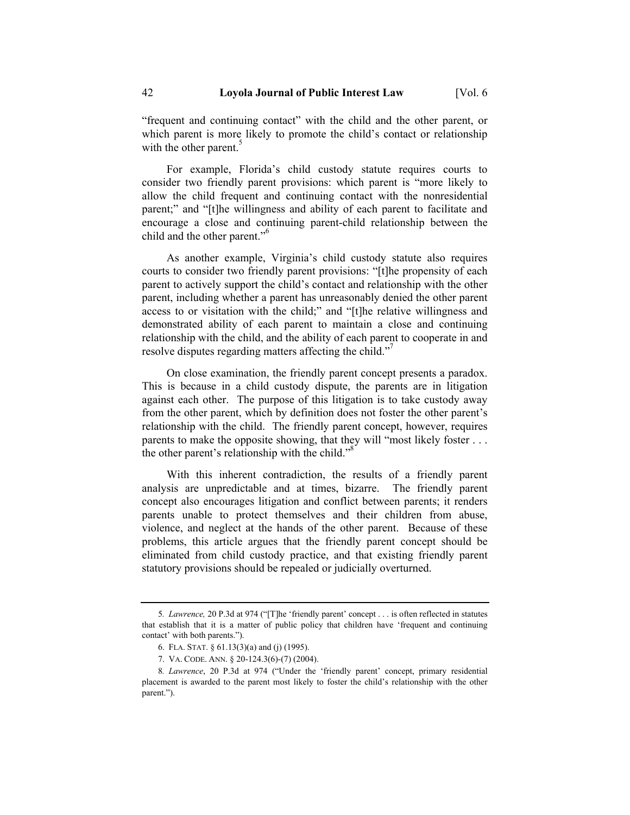"frequent and continuing contact" with the child and the other parent, or which parent is more likely to promote the child's contact or relationship with the other parent.<sup>5</sup>

For example, Florida's child custody statute requires courts to consider two friendly parent provisions: which parent is "more likely to allow the child frequent and continuing contact with the nonresidential parent;" and "[t]he willingness and ability of each parent to facilitate and encourage a close and continuing parent-child relationship between the child and the other parent."<sup>6</sup>

As another example, Virginia's child custody statute also requires courts to consider two friendly parent provisions: "[t]he propensity of each parent to actively support the child's contact and relationship with the other parent, including whether a parent has unreasonably denied the other parent access to or visitation with the child;" and "[t]he relative willingness and demonstrated ability of each parent to maintain a close and continuing relationship with the child, and the ability of each parent to cooperate in and resolve disputes regarding matters affecting the child."

On close examination, the friendly parent concept presents a paradox. This is because in a child custody dispute, the parents are in litigation against each other. The purpose of this litigation is to take custody away from the other parent, which by definition does not foster the other parent's relationship with the child. The friendly parent concept, however, requires parents to make the opposite showing, that they will "most likely foster . . . the other parent's relationship with the child."<sup>8</sup>

With this inherent contradiction, the results of a friendly parent analysis are unpredictable and at times, bizarre. The friendly parent concept also encourages litigation and conflict between parents; it renders parents unable to protect themselves and their children from abuse, violence, and neglect at the hands of the other parent. Because of these problems, this article argues that the friendly parent concept should be eliminated from child custody practice, and that existing friendly parent statutory provisions should be repealed or judicially overturned.

<sup>5</sup>*. Lawrence,* 20 P.3d at 974 ("[T]he 'friendly parent' concept . . . is often reflected in statutes that establish that it is a matter of public policy that children have 'frequent and continuing contact' with both parents.").

 <sup>6.</sup> FLA. STAT. § 61.13(3)(a) and (j) (1995).

 <sup>7.</sup> VA. CODE. ANN. § 20-124.3(6)-(7) (2004).

<sup>8</sup>*. Lawrence*, 20 P.3d at 974 ("Under the 'friendly parent' concept, primary residential placement is awarded to the parent most likely to foster the child's relationship with the other parent.").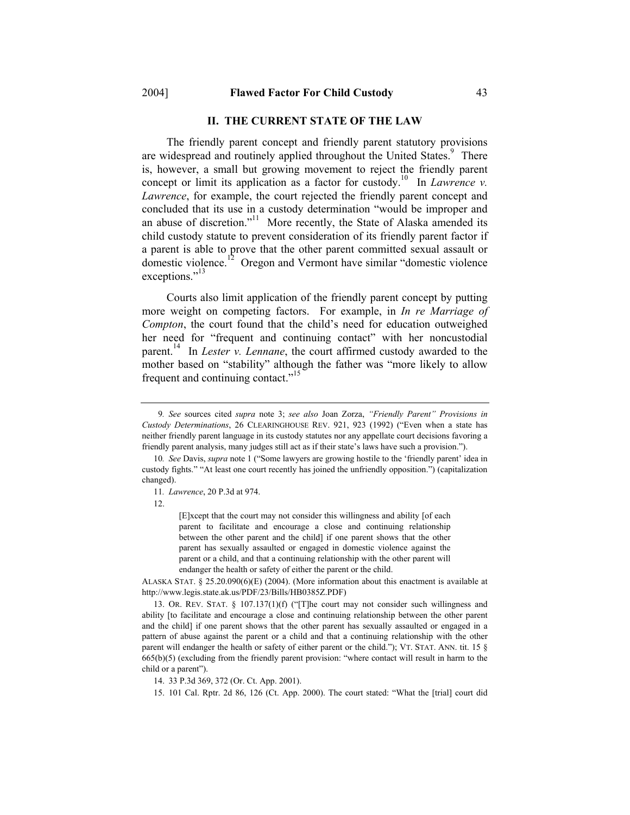#### **II. THE CURRENT STATE OF THE LAW**

The friendly parent concept and friendly parent statutory provisions are widespread and routinely applied throughout the United States.<sup>9</sup> There is, however, a small but growing movement to reject the friendly parent concept or limit its application as a factor for custody.<sup>10</sup> In *Lawrence v. Lawrence*, for example, the court rejected the friendly parent concept and concluded that its use in a custody determination "would be improper and an abuse of discretion."<sup>11</sup> More recently, the State of Alaska amended its child custody statute to prevent consideration of its friendly parent factor if a parent is able to prove that the other parent committed sexual assault or domestic violence.<sup>12</sup> Oregon and Vermont have similar "domestic violence" exceptions."<sup>13</sup>

Courts also limit application of the friendly parent concept by putting more weight on competing factors. For example, in *In re Marriage of Compton*, the court found that the child's need for education outweighed her need for "frequent and continuing contact" with her noncustodial parent.<sup>14</sup> In *Lester v. Lennane*, the court affirmed custody awarded to the mother based on "stability" although the father was "more likely to allow frequent and continuing contact."

[E]xcept that the court may not consider this willingness and ability [of each parent to facilitate and encourage a close and continuing relationship between the other parent and the child] if one parent shows that the other parent has sexually assaulted or engaged in domestic violence against the parent or a child, and that a continuing relationship with the other parent will endanger the health or safety of either the parent or the child.

ALASKA STAT. § 25.20.090(6)(E) (2004). (More information about this enactment is available at http://www.legis.state.ak.us/PDF/23/Bills/HB0385Z.PDF)

 13. OR. REV. STAT. § 107.137(1)(f) ("[T]he court may not consider such willingness and ability [to facilitate and encourage a close and continuing relationship between the other parent and the child] if one parent shows that the other parent has sexually assaulted or engaged in a pattern of abuse against the parent or a child and that a continuing relationship with the other parent will endanger the health or safety of either parent or the child."); VT. STAT. ANN. tit. 15 § 665(b)(5) (excluding from the friendly parent provision: "where contact will result in harm to the child or a parent").

<sup>9</sup>*. See* sources cited *supra* note 3; *see also* Joan Zorza, *"Friendly Parent" Provisions in Custody Determinations*, 26 CLEARINGHOUSE REV. 921, 923 (1992) ("Even when a state has neither friendly parent language in its custody statutes nor any appellate court decisions favoring a friendly parent analysis, many judges still act as if their state's laws have such a provision.").

<sup>10</sup>*. See* Davis, *supra* note 1 ("Some lawyers are growing hostile to the 'friendly parent' idea in custody fights." "At least one court recently has joined the unfriendly opposition.") (capitalization changed).

<sup>11</sup>*. Lawrence*, 20 P.3d at 974.

 <sup>12.</sup> 

 <sup>14. 33</sup> P.3d 369, 372 (Or. Ct. App. 2001).

 <sup>15. 101</sup> Cal. Rptr. 2d 86, 126 (Ct. App. 2000). The court stated: "What the [trial] court did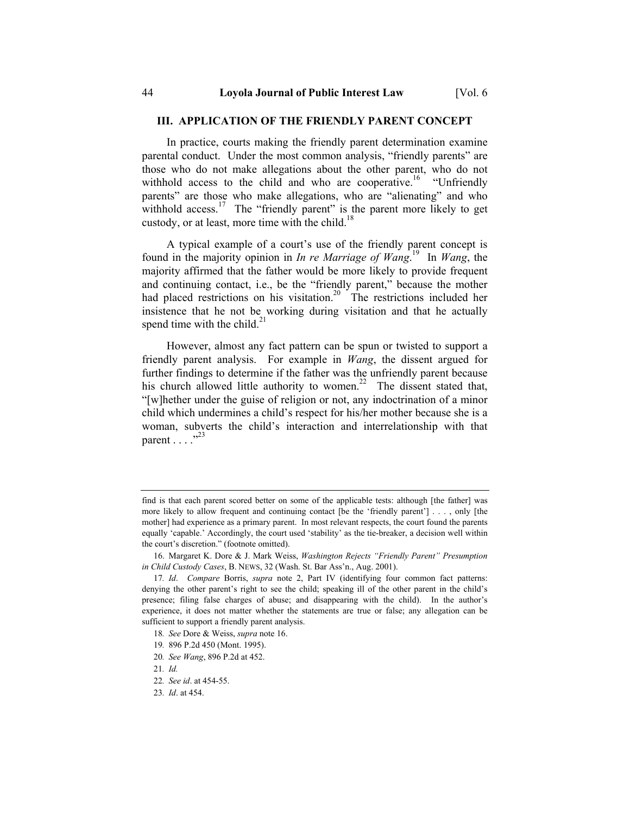#### **III. APPLICATION OF THE FRIENDLY PARENT CONCEPT**

In practice, courts making the friendly parent determination examine parental conduct. Under the most common analysis, "friendly parents" are those who do not make allegations about the other parent, who do not withhold access to the child and who are cooperative.<sup>16</sup> "Unfriendly parents" are those who make allegations, who are "alienating" and who withhold access.<sup>17</sup> The "friendly parent" is the parent more likely to get custody, or at least, more time with the child.<sup>18</sup>

A typical example of a court's use of the friendly parent concept is found in the majority opinion in *In re Marriage of Wang*. 19 In *Wang*, the majority affirmed that the father would be more likely to provide frequent and continuing contact, i.e., be the "friendly parent," because the mother had placed restrictions on his visitation.<sup>20</sup> The restrictions included her insistence that he not be working during visitation and that he actually spend time with the child.<sup>21</sup>

However, almost any fact pattern can be spun or twisted to support a friendly parent analysis. For example in *Wang*, the dissent argued for further findings to determine if the father was the unfriendly parent because his church allowed little authority to women.<sup>22</sup> The dissent stated that, "[w]hether under the guise of religion or not, any indoctrination of a minor child which undermines a child's respect for his/her mother because she is a woman, subverts the child's interaction and interrelationship with that parent  $\ldots$  .  $^{323}$ 

- 18*. See* Dore & Weiss, *supra* note 16.
- 19*.* 896 P.2d 450 (Mont. 1995).
- 20*. See Wang*, 896 P.2d at 452.

find is that each parent scored better on some of the applicable tests: although [the father] was more likely to allow frequent and continuing contact [be the 'friendly parent'] . . . , only [the mother] had experience as a primary parent. In most relevant respects, the court found the parents equally 'capable.' Accordingly, the court used 'stability' as the tie-breaker, a decision well within the court's discretion." (footnote omitted).

 <sup>16.</sup> Margaret K. Dore & J. Mark Weiss, *Washington Rejects "Friendly Parent" Presumption in Child Custody Cases*, B. NEWS, 32 (Wash. St. Bar Ass'n., Aug. 2001).

<sup>17</sup>*. Id*. *Compare* Borris, *supra* note 2, Part IV (identifying four common fact patterns: denying the other parent's right to see the child; speaking ill of the other parent in the child's presence; filing false charges of abuse; and disappearing with the child). In the author's experience, it does not matter whether the statements are true or false; any allegation can be sufficient to support a friendly parent analysis.

<sup>21</sup>*. Id.*

<sup>22</sup>*. See id*. at 454-55.

<sup>23</sup>*. Id*. at 454.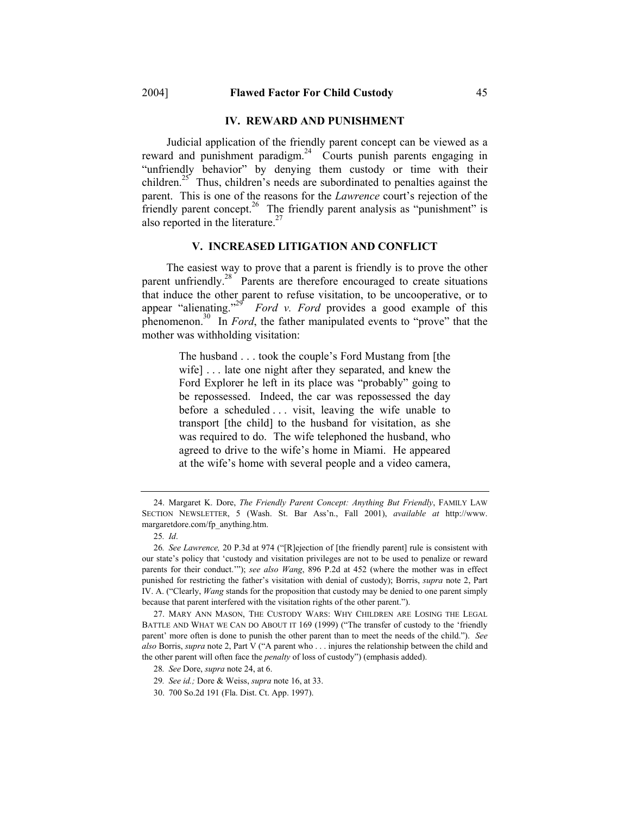#### **IV. REWARD AND PUNISHMENT**

Judicial application of the friendly parent concept can be viewed as a reward and punishment paradigm.<sup>24</sup> Courts punish parents engaging in "unfriendly behavior" by denying them custody or time with their children.<sup>25</sup> Thus, children's needs are subordinated to penalties against the parent. This is one of the reasons for the *Lawrence* court's rejection of the friendly parent concept.<sup>26</sup> The friendly parent analysis as "punishment" is also reported in the literature.<sup>27</sup>

# **V. INCREASED LITIGATION AND CONFLICT**

The easiest way to prove that a parent is friendly is to prove the other parent unfriendly.<sup>28</sup> Parents are therefore encouraged to create situations that induce the other parent to refuse visitation, to be uncooperative, or to appear "alienating."<sup>29</sup> *Ford v. Ford provides a good example of this* phenomenon.<sup>30</sup> In *Ford*, the father manipulated events to "prove" that the mother was withholding visitation:

> The husband . . . took the couple's Ford Mustang from [the wife] . . . late one night after they separated, and knew the Ford Explorer he left in its place was "probably" going to be repossessed. Indeed, the car was repossessed the day before a scheduled . . . visit, leaving the wife unable to transport [the child] to the husband for visitation, as she was required to do. The wife telephoned the husband, who agreed to drive to the wife's home in Miami. He appeared at the wife's home with several people and a video camera,

 <sup>24.</sup> Margaret K. Dore, *The Friendly Parent Concept: Anything But Friendly*, FAMILY LAW SECTION NEWSLETTER, 5 (Wash. St. Bar Ass'n., Fall 2001), *available at* http://www. margaretdore.com/fp\_anything.htm.

<sup>25</sup>*. Id*.

<sup>26</sup>*. See Lawrence,* 20 P.3d at 974 ("[R]ejection of [the friendly parent] rule is consistent with our state's policy that 'custody and visitation privileges are not to be used to penalize or reward parents for their conduct.'"); *see also Wang*, 896 P.2d at 452 (where the mother was in effect punished for restricting the father's visitation with denial of custody); Borris, *supra* note 2, Part IV. A. ("Clearly, *Wang* stands for the proposition that custody may be denied to one parent simply because that parent interfered with the visitation rights of the other parent.").

 <sup>27.</sup> MARY ANN MASON, THE CUSTODY WARS: WHY CHILDREN ARE LOSING THE LEGAL BATTLE AND WHAT WE CAN DO ABOUT IT 169 (1999) ("The transfer of custody to the 'friendly parent' more often is done to punish the other parent than to meet the needs of the child."). *See also* Borris, *supra* note 2, Part V ("A parent who . . . injures the relationship between the child and the other parent will often face the *penalty* of loss of custody") (emphasis added).

<sup>28</sup>*. See* Dore, *supra* note 24, at 6.

<sup>29</sup>*. See id.;* Dore & Weiss, *supra* note 16, at 33.

 <sup>30. 700</sup> So.2d 191 (Fla. Dist. Ct. App. 1997).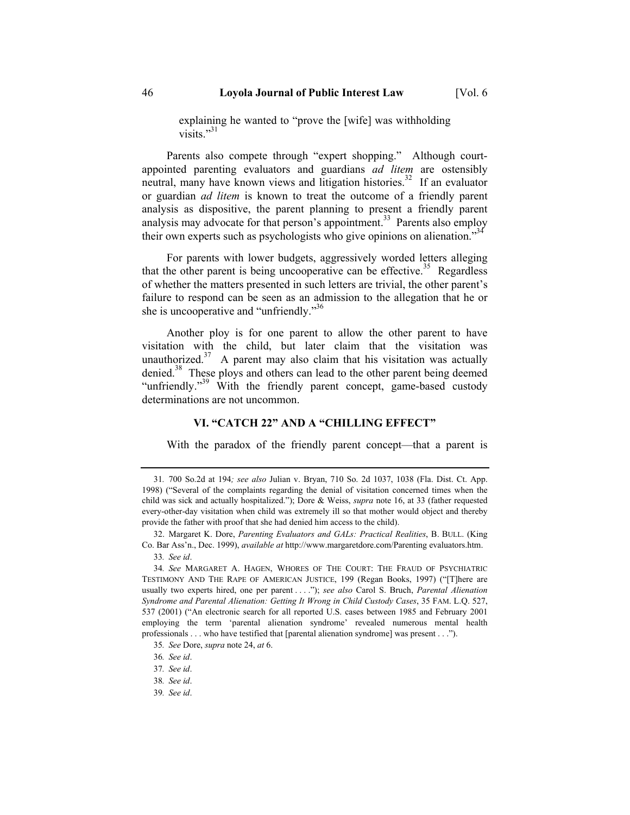explaining he wanted to "prove the [wife] was withholding visits."<sup>31</sup>

Parents also compete through "expert shopping." Although courtappointed parenting evaluators and guardians *ad litem* are ostensibly neutral, many have known views and litigation histories.<sup>32</sup> If an evaluator or guardian *ad litem* is known to treat the outcome of a friendly parent analysis as dispositive, the parent planning to present a friendly parent analysis may advocate for that person's appointment.<sup>33</sup> Parents also employ their own experts such as psychologists who give opinions on alienation.<sup>334</sup>

For parents with lower budgets, aggressively worded letters alleging that the other parent is being uncooperative can be effective.<sup>35</sup> Regardless of whether the matters presented in such letters are trivial, the other parent's failure to respond can be seen as an admission to the allegation that he or she is uncooperative and "unfriendly."<sup>36</sup>

Another ploy is for one parent to allow the other parent to have visitation with the child, but later claim that the visitation was unauthorized. $37$  A parent may also claim that his visitation was actually denied.<sup>38</sup> These ploys and others can lead to the other parent being deemed "unfriendly."<sup>39</sup> With the friendly parent concept, game-based custody determinations are not uncommon.

#### **VI. "CATCH 22" AND A "CHILLING EFFECT"**

With the paradox of the friendly parent concept—that a parent is

39*. See id*.

<sup>31</sup>*.* 700 So.2d at 194*; see also* Julian v. Bryan, 710 So. 2d 1037, 1038 (Fla. Dist. Ct. App. 1998) ("Several of the complaints regarding the denial of visitation concerned times when the child was sick and actually hospitalized."); Dore & Weiss, *supra* note 16, at 33 (father requested every-other-day visitation when child was extremely ill so that mother would object and thereby provide the father with proof that she had denied him access to the child).

 <sup>32.</sup> Margaret K. Dore, *Parenting Evaluators and GALs: Practical Realities*, B. BULL. (King Co. Bar Ass'n., Dec. 1999), *available at* http://www.margaretdore.com/Parenting evaluators.htm.

<sup>33</sup>*. See id*.

<sup>34</sup>*. See* MARGARET A. HAGEN, WHORES OF THE COURT: THE FRAUD OF PSYCHIATRIC TESTIMONY AND THE RAPE OF AMERICAN JUSTICE, 199 (Regan Books, 1997) ("[T]here are usually two experts hired, one per parent . . . ."); *see also* Carol S. Bruch, *Parental Alienation Syndrome and Parental Alienation: Getting It Wrong in Child Custody Cases*, 35 FAM. L.Q. 527, 537 (2001) ("An electronic search for all reported U.S. cases between 1985 and February 2001 employing the term 'parental alienation syndrome' revealed numerous mental health professionals . . . who have testified that [parental alienation syndrome] was present . . .").

<sup>35</sup>*. See* Dore, *supra* note 24, *at* 6.

<sup>36</sup>*. See id*.

<sup>37</sup>*. See id*.

<sup>38</sup>*. See id*.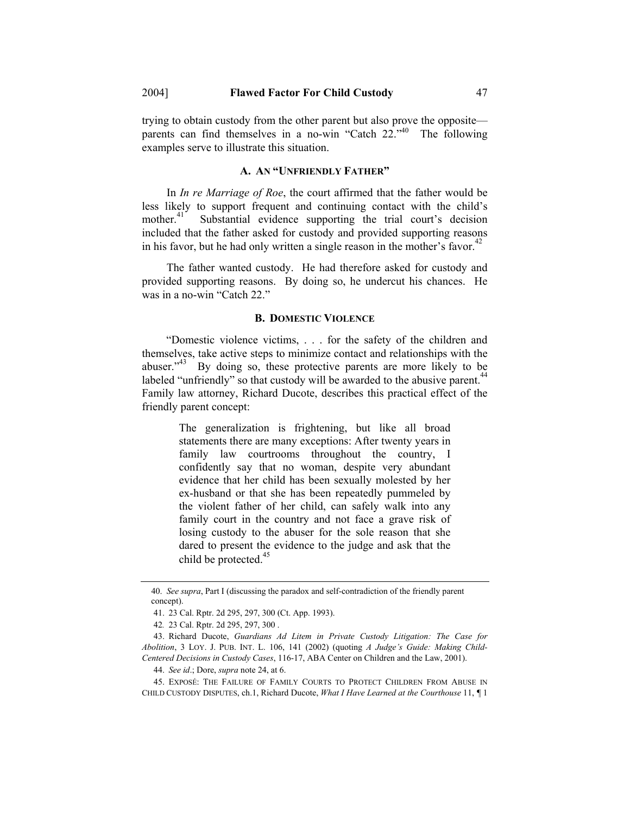trying to obtain custody from the other parent but also prove the opposite parents can find themselves in a no-win "Catch 22."<sup>40</sup> The following examples serve to illustrate this situation.

### **A. AN "UNFRIENDLY FATHER"**

In *In re Marriage of Roe*, the court affirmed that the father would be less likely to support frequent and continuing contact with the child's mother.<sup>41</sup> Substantial evidence supporting the trial court's decision included that the father asked for custody and provided supporting reasons in his favor, but he had only written a single reason in the mother's favor.<sup>42</sup>

The father wanted custody. He had therefore asked for custody and provided supporting reasons. By doing so, he undercut his chances. He was in a no-win "Catch 22."

#### **B. DOMESTIC VIOLENCE**

"Domestic violence victims, . . . for the safety of the children and themselves, take active steps to minimize contact and relationships with the abuser. $143}$  By doing so, these protective parents are more likely to be labeled "unfriendly" so that custody will be awarded to the abusive parent.<sup>4</sup> Family law attorney, Richard Ducote, describes this practical effect of the friendly parent concept:

> The generalization is frightening, but like all broad statements there are many exceptions: After twenty years in family law courtrooms throughout the country, I confidently say that no woman, despite very abundant evidence that her child has been sexually molested by her ex-husband or that she has been repeatedly pummeled by the violent father of her child, can safely walk into any family court in the country and not face a grave risk of losing custody to the abuser for the sole reason that she dared to present the evidence to the judge and ask that the child be protected.<sup>45</sup>

<sup>40.</sup> *See supra*, Part I (discussing the paradox and self-contradiction of the friendly parent concept).

 <sup>41. 23</sup> Cal. Rptr. 2d 295, 297, 300 (Ct. App. 1993).

<sup>42</sup>*.* 23 Cal. Rptr. 2d 295, 297, 300 .

 <sup>43.</sup> Richard Ducote, *Guardians Ad Litem in Private Custody Litigation: The Case for Abolition*, 3 LOY. J. PUB. INT. L. 106, 141 (2002) (quoting *A Judge's Guide: Making Child-Centered Decisions in Custody Cases*, 116-17, ABA Center on Children and the Law, 2001).

 <sup>44.</sup> *See id*.; Dore, *supra* note 24, at 6.

 <sup>45.</sup> EXPOSÉ: THE FAILURE OF FAMILY COURTS TO PROTECT CHILDREN FROM ABUSE IN CHILD CUSTODY DISPUTES, ch.1, Richard Ducote, *What I Have Learned at the Courthouse* 11, *¶* 1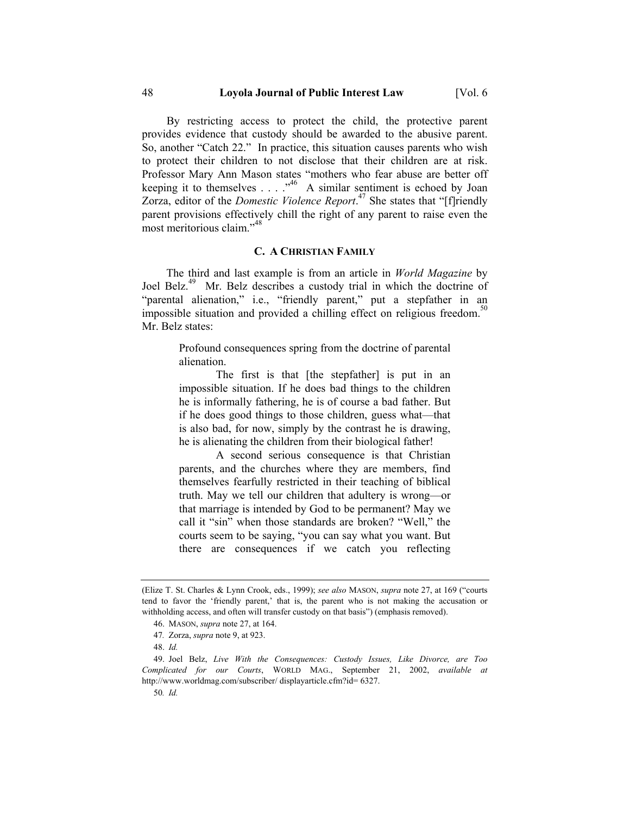#### 48 **Loyola Journal of Public Interest Law** [Vol. 6

By restricting access to protect the child, the protective parent provides evidence that custody should be awarded to the abusive parent. So, another "Catch 22." In practice, this situation causes parents who wish to protect their children to not disclose that their children are at risk. Professor Mary Ann Mason states "mothers who fear abuse are better off keeping it to themselves  $\ldots$  ...<sup>46</sup> A similar sentiment is echoed by Joan Zorza, editor of the *Domestic Violence Report*. 47 She states that "[f]riendly parent provisions effectively chill the right of any parent to raise even the most meritorious claim."48

#### **C. A CHRISTIAN FAMILY**

The third and last example is from an article in *World Magazine* by Joel Belz.<sup>49</sup> Mr. Belz describes a custody trial in which the doctrine of "parental alienation," i.e., "friendly parent," put a stepfather in an impossible situation and provided a chilling effect on religious freedom.<sup>50</sup> Mr. Belz states:

> Profound consequences spring from the doctrine of parental alienation.

> The first is that [the stepfather] is put in an impossible situation. If he does bad things to the children he is informally fathering, he is of course a bad father. But if he does good things to those children, guess what—that is also bad, for now, simply by the contrast he is drawing, he is alienating the children from their biological father!

> A second serious consequence is that Christian parents, and the churches where they are members, find themselves fearfully restricted in their teaching of biblical truth. May we tell our children that adultery is wrong—or that marriage is intended by God to be permanent? May we call it "sin" when those standards are broken? "Well," the courts seem to be saying, "you can say what you want. But there are consequences if we catch you reflecting

<sup>(</sup>Elize T. St. Charles & Lynn Crook, eds., 1999); *see also* MASON, *supra* note 27, at 169 ("courts tend to favor the 'friendly parent,' that is, the parent who is not making the accusation or withholding access, and often will transfer custody on that basis") (emphasis removed).

 <sup>46.</sup> MASON, *supra* note 27, at 164.

<sup>47</sup>*.* Zorza, *supra* note 9, at 923.

 <sup>48.</sup> *Id.*

 <sup>49.</sup> Joel Belz, *Live With the Consequences: Custody Issues, Like Divorce, are Too Complicated for our Courts*, WORLD MAG., September 21, 2002, *available at* http://www.worldmag.com/subscriber/ displayarticle.cfm?id= 6327.

<sup>50</sup>*. Id.*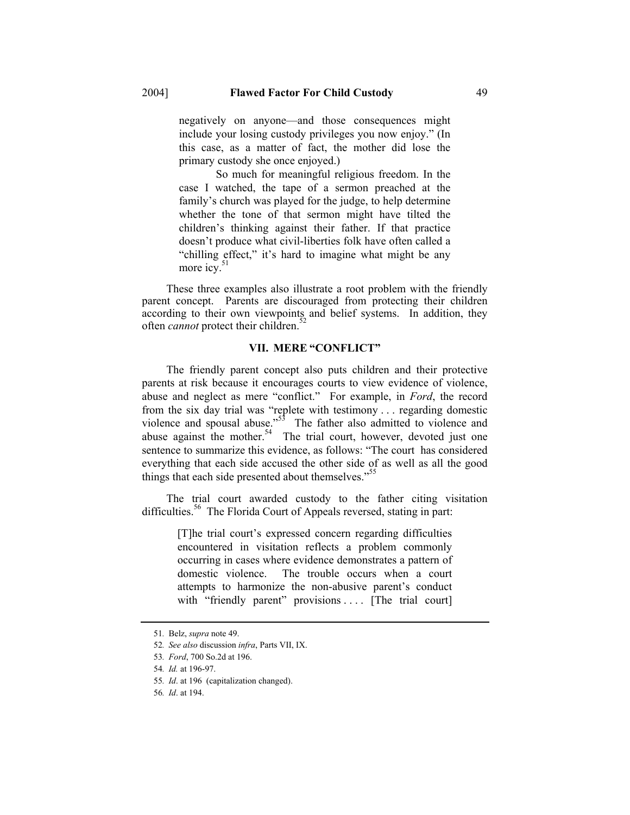negatively on anyone—and those consequences might include your losing custody privileges you now enjoy." (In this case, as a matter of fact, the mother did lose the primary custody she once enjoyed.)

 So much for meaningful religious freedom. In the case I watched, the tape of a sermon preached at the family's church was played for the judge, to help determine whether the tone of that sermon might have tilted the children's thinking against their father. If that practice doesn't produce what civil-liberties folk have often called a "chilling effect," it's hard to imagine what might be any more icy. $51$ 

These three examples also illustrate a root problem with the friendly parent concept. Parents are discouraged from protecting their children according to their own viewpoints and belief systems. In addition, they often *cannot* protect their children.<sup>3</sup>

#### **VII. MERE "CONFLICT"**

The friendly parent concept also puts children and their protective parents at risk because it encourages courts to view evidence of violence, abuse and neglect as mere "conflict." For example, in *Ford*, the record from the six day trial was "replete with testimony . . . regarding domestic violence and spousal abuse."<sup>53</sup> The father also admitted to violence and abuse against the mother.<sup>54</sup> The trial court, however, devoted just one sentence to summarize this evidence, as follows: "The court has considered everything that each side accused the other side of as well as all the good things that each side presented about themselves."<sup>55</sup>

The trial court awarded custody to the father citing visitation difficulties.<sup>56</sup> The Florida Court of Appeals reversed, stating in part:

> [T]he trial court's expressed concern regarding difficulties encountered in visitation reflects a problem commonly occurring in cases where evidence demonstrates a pattern of domestic violence. The trouble occurs when a court attempts to harmonize the non-abusive parent's conduct with "friendly parent" provisions .... [The trial court]

<sup>51</sup>*.* Belz, *supra* note 49.

<sup>52</sup>*. See also* discussion *infra*, Parts VII, IX.

<sup>53</sup>*. Ford*, 700 So.2d at 196.

<sup>54</sup>*. Id.* at 196-97.

<sup>55</sup>*. Id*. at 196 (capitalization changed).

<sup>56</sup>*. Id*. at 194.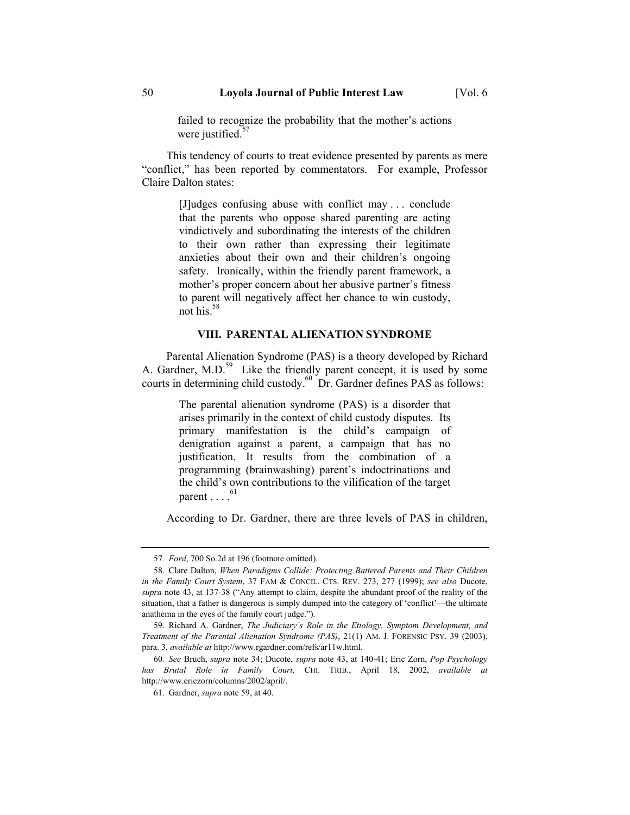failed to recognize the probability that the mother's actions were justified. $57$ 

This tendency of courts to treat evidence presented by parents as mere "conflict," has been reported by commentators. For example, Professor Claire Dalton states:

> [J]udges confusing abuse with conflict may . . . conclude that the parents who oppose shared parenting are acting vindictively and subordinating the interests of the children to their own rather than expressing their legitimate anxieties about their own and their children's ongoing safety. Ironically, within the friendly parent framework, a mother's proper concern about her abusive partner's fitness to parent will negatively affect her chance to win custody, not his. $58$

# **VIII. PARENTAL ALIENATION SYNDROME**

Parental Alienation Syndrome (PAS) is a theory developed by Richard A. Gardner, M.D. $<sup>59</sup>$  Like the friendly parent concept, it is used by some</sup> courts in determining child custody.<sup>60</sup> Dr. Gardner defines PAS as follows:

> The parental alienation syndrome (PAS) is a disorder that arises primarily in the context of child custody disputes. Its primary manifestation is the child's campaign of denigration against a parent, a campaign that has no justification. It results from the combination of a programming (brainwashing) parent's indoctrinations and the child's own contributions to the vilification of the target parent  $\ldots$ .

According to Dr. Gardner, there are three levels of PAS in children,

<sup>57</sup>*. Ford*, 700 So.2d at 196 (footnote omitted).

 <sup>58.</sup> Clare Dalton, *When Paradigms Collide: Protecting Battered Parents and Their Children in the Family Court System*, 37 FAM & CONCIL. CTS. REV. 273, 277 (1999); *see also* Ducote, *supra* note 43, at 137-38 ("Any attempt to claim, despite the abundant proof of the reality of the situation, that a father is dangerous is simply dumped into the category of 'conflict'—the ultimate anathema in the eyes of the family court judge.").

 <sup>59.</sup> Richard A. Gardner, *The Judiciary's Role in the Etiology, Symptom Development, and Treatment of the Parental Alienation Syndrome (PAS)*, 21(1) AM. J. FORENSIC PSY. 39 (2003), para. 3, *available at* http://www.rgardner.com/refs/ar11w.html.

<sup>60</sup>*. See* Bruch, *supra* note 34; Ducote, *supra* note 43, at 140-41; Eric Zorn, *Pop Psychology has Brutal Role in Family Court*, CHI. TRIB., April 18, 2002, *available at* http://www.ericzorn/columns/2002/april/.

 <sup>61.</sup> Gardner, *supra* note 59, at 40.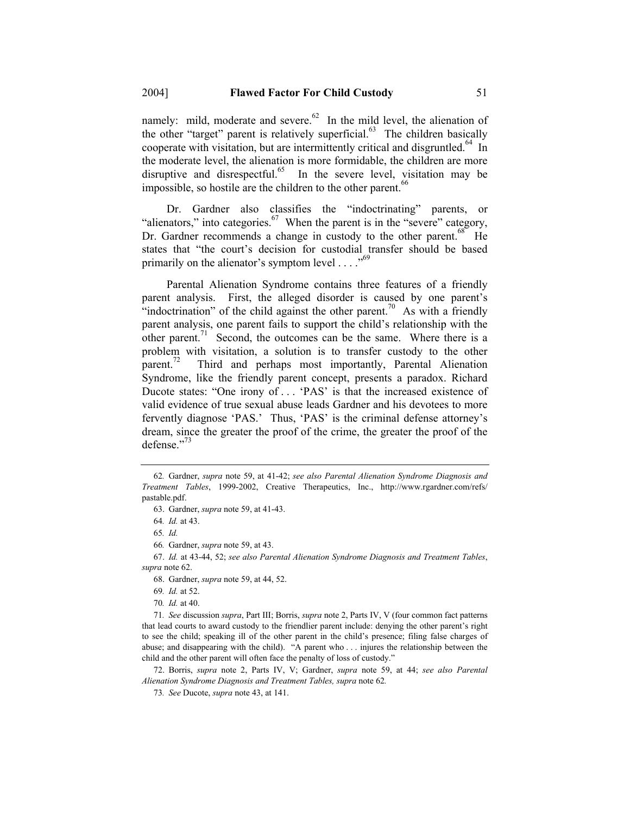namely: mild, moderate and severe. $62$  In the mild level, the alienation of the other "target" parent is relatively superficial.<sup>63</sup> The children basically cooperate with visitation, but are intermittently critical and disgruntled.<sup>64</sup> In the moderate level, the alienation is more formidable, the children are more disruptive and disrespectful. $65$  In the severe level, visitation may be impossible, so hostile are the children to the other parent.<sup>66</sup>

Dr. Gardner also classifies the "indoctrinating" parents, or "alienators," into categories.<sup>67</sup> When the parent is in the "severe" category, Dr. Gardner recommends a change in custody to the other parent.<sup>68</sup> He states that "the court's decision for custodial transfer should be based primarily on the alienator's symptom level  $\dots$ ."<sup>69</sup>

Parental Alienation Syndrome contains three features of a friendly parent analysis. First, the alleged disorder is caused by one parent's "indoctrination" of the child against the other parent.<sup>70</sup> As with a friendly parent analysis, one parent fails to support the child's relationship with the other parent.<sup>71</sup> Second, the outcomes can be the same. Where there is a problem with visitation, a solution is to transfer custody to the other parent.<sup>72</sup> Third and perhaps most importantly, Parental Alienation Syndrome, like the friendly parent concept, presents a paradox. Richard Ducote states: "One irony of . . . 'PAS' is that the increased existence of valid evidence of true sexual abuse leads Gardner and his devotees to more fervently diagnose 'PAS.' Thus, 'PAS' is the criminal defense attorney's dream, since the greater the proof of the crime, the greater the proof of the defense."73

 67. *Id.* at 43-44, 52; *see also Parental Alienation Syndrome Diagnosis and Treatment Tables*, *supra* note 62.

68. Gardner, *supra* note 59, at 44, 52.

70*. Id.* at 40.

71*. See* discussion *supra*, Part III; Borris, *supra* note 2, Parts IV, V (four common fact patterns that lead courts to award custody to the friendlier parent include: denying the other parent's right to see the child; speaking ill of the other parent in the child's presence; filing false charges of abuse; and disappearing with the child). "A parent who . . . injures the relationship between the child and the other parent will often face the penalty of loss of custody."

 72. Borris, *supra* note 2, Parts IV, V; Gardner, *supra* note 59, at 44; *see also Parental Alienation Syndrome Diagnosis and Treatment Tables, supra* note 62*.*

<sup>62</sup>*.* Gardner, *supra* note 59, at 41-42; *see also Parental Alienation Syndrome Diagnosis and Treatment Tables*, 1999-2002, Creative Therapeutics, Inc., http://www.rgardner.com/refs/ pastable.pdf.

 <sup>63.</sup> Gardner, *supra* note 59, at 41-43.

<sup>64</sup>*. Id.* at 43.

<sup>65</sup>*. Id.*

<sup>66</sup>*.* Gardner, *supra* note 59, at 43.

<sup>69</sup>*. Id.* at 52.

<sup>73</sup>*. See* Ducote, *supra* note 43, at 141.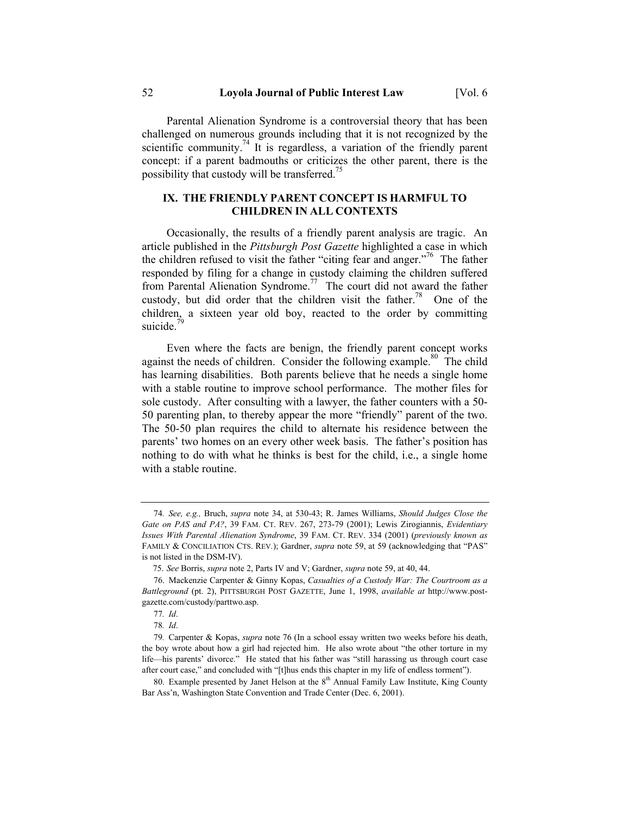Parental Alienation Syndrome is a controversial theory that has been challenged on numerous grounds including that it is not recognized by the scientific community.<sup>74</sup> It is regardless, a variation of the friendly parent concept: if a parent badmouths or criticizes the other parent, there is the possibility that custody will be transferred.<sup>15</sup>

# **IX. THE FRIENDLY PARENT CONCEPT IS HARMFUL TO CHILDREN IN ALL CONTEXTS**

Occasionally, the results of a friendly parent analysis are tragic. An article published in the *Pittsburgh Post Gazette* highlighted a case in which the children refused to visit the father "citing fear and anger."<sup> $6$ </sup> The father responded by filing for a change in custody claiming the children suffered from Parental Alienation Syndrome.<sup>77</sup> The court did not award the father custody, but did order that the children visit the father.<sup>78</sup> One of the children, a sixteen year old boy, reacted to the order by committing suicide.

Even where the facts are benign, the friendly parent concept works against the needs of children. Consider the following example.<sup>80</sup> The child has learning disabilities. Both parents believe that he needs a single home with a stable routine to improve school performance. The mother files for sole custody. After consulting with a lawyer, the father counters with a 50- 50 parenting plan, to thereby appear the more "friendly" parent of the two. The 50-50 plan requires the child to alternate his residence between the parents' two homes on an every other week basis. The father's position has nothing to do with what he thinks is best for the child, i.e., a single home with a stable routine.

<sup>74</sup>*. See, e.g.,* Bruch, *supra* note 34, at 530-43; R. James Williams, *Should Judges Close the Gate on PAS and PA?*, 39 FAM. CT. REV. 267, 273-79 (2001); Lewis Zirogiannis, *Evidentiary Issues With Parental Alienation Syndrome*, 39 FAM. CT. REV. 334 (2001) (*previously known as*  FAMILY & CONCILIATION CTS. REV*.*); Gardner, *supra* note 59, at 59 (acknowledging that "PAS" is not listed in the DSM-IV).

 <sup>75.</sup> *See* Borris, *supra* note 2, Parts IV and V; Gardner, *supra* note 59, at 40, 44.

 <sup>76.</sup> Mackenzie Carpenter & Ginny Kopas, *Casualties of a Custody War: The Courtroom as a Battleground* (pt. 2), PITTSBURGH POST GAZETTE, June 1, 1998, *available at* http://www.postgazette.com/custody/parttwo.asp.

<sup>77</sup>*. Id*.

<sup>78</sup>*. Id*.

<sup>79</sup>*.* Carpenter & Kopas, *supra* note 76 (In a school essay written two weeks before his death, the boy wrote about how a girl had rejected him. He also wrote about "the other torture in my life—his parents' divorce." He stated that his father was "still harassing us through court case after court case," and concluded with "[t]hus ends this chapter in my life of endless torment").

<sup>80.</sup> Example presented by Janet Helson at the 8<sup>th</sup> Annual Family Law Institute, King County Bar Ass'n, Washington State Convention and Trade Center (Dec. 6, 2001).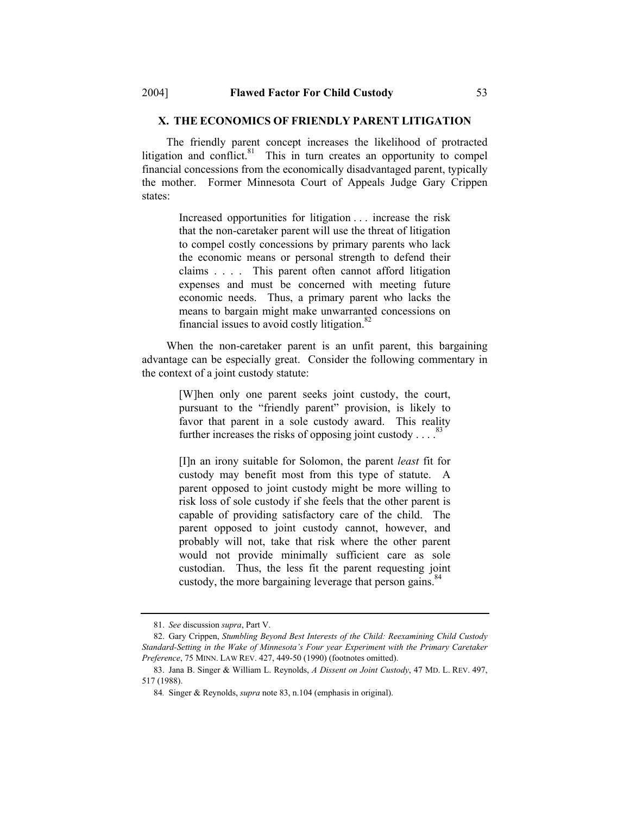# **X. THE ECONOMICS OF FRIENDLY PARENT LITIGATION**

The friendly parent concept increases the likelihood of protracted litigation and conflict. $81$  This in turn creates an opportunity to compel financial concessions from the economically disadvantaged parent, typically the mother. Former Minnesota Court of Appeals Judge Gary Crippen states:

> Increased opportunities for litigation . . . increase the risk that the non-caretaker parent will use the threat of litigation to compel costly concessions by primary parents who lack the economic means or personal strength to defend their claims . . . . This parent often cannot afford litigation expenses and must be concerned with meeting future economic needs. Thus, a primary parent who lacks the means to bargain might make unwarranted concessions on financial issues to avoid costly litigation. $82$

When the non-caretaker parent is an unfit parent, this bargaining advantage can be especially great. Consider the following commentary in the context of a joint custody statute:

> [W]hen only one parent seeks joint custody, the court, pursuant to the "friendly parent" provision, is likely to favor that parent in a sole custody award. This reality further increases the risks of opposing joint custody  $\dots$ .

> [I]n an irony suitable for Solomon, the parent *least* fit for custody may benefit most from this type of statute. A parent opposed to joint custody might be more willing to risk loss of sole custody if she feels that the other parent is capable of providing satisfactory care of the child. The parent opposed to joint custody cannot, however, and probably will not, take that risk where the other parent would not provide minimally sufficient care as sole custodian. Thus, the less fit the parent requesting joint custody, the more bargaining leverage that person gains.<sup>84</sup>

 <sup>81.</sup> *See* discussion *supra*, Part V.

 <sup>82.</sup> Gary Crippen, *Stumbling Beyond Best Interests of the Child: Reexamining Child Custody Standard-Setting in the Wake of Minnesota's Four year Experiment with the Primary Caretaker Preference*, 75 MINN. LAW REV. 427, 449-50 (1990) (footnotes omitted).

 <sup>83.</sup> Jana B. Singer & William L. Reynolds, *A Dissent on Joint Custody*, 47 MD. L. REV. 497, 517 (1988).

<sup>84</sup>*.* Singer & Reynolds, *supra* note 83, n.104 (emphasis in original).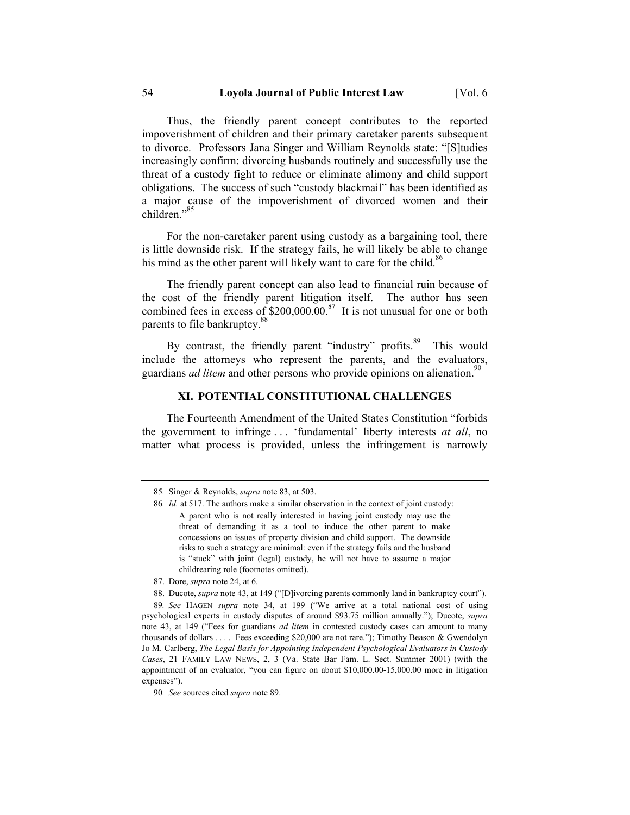Thus, the friendly parent concept contributes to the reported impoverishment of children and their primary caretaker parents subsequent to divorce. Professors Jana Singer and William Reynolds state: "[S]tudies increasingly confirm: divorcing husbands routinely and successfully use the threat of a custody fight to reduce or eliminate alimony and child support obligations. The success of such "custody blackmail" has been identified as a major cause of the impoverishment of divorced women and their children."<sup>85</sup>

For the non-caretaker parent using custody as a bargaining tool, there is little downside risk. If the strategy fails, he will likely be able to change his mind as the other parent will likely want to care for the child.<sup>86</sup>

The friendly parent concept can also lead to financial ruin because of the cost of the friendly parent litigation itself. The author has seen combined fees in excess of  $$200,000.00$ .<sup>87</sup> It is not unusual for one or both parents to file bankruptcy.<sup>88</sup>

By contrast, the friendly parent "industry" profits.<sup>89</sup> This would include the attorneys who represent the parents, and the evaluators, guardians *ad litem* and other persons who provide opinions on alienation.<sup>90</sup>

### **XI. POTENTIAL CONSTITUTIONAL CHALLENGES**

The Fourteenth Amendment of the United States Constitution "forbids the government to infringe . . . 'fundamental' liberty interests *at all*, no matter what process is provided, unless the infringement is narrowly

<sup>85</sup>*.* Singer & Reynolds, *supra* note 83, at 503.

<sup>86</sup>*. Id.* at 517. The authors make a similar observation in the context of joint custody: A parent who is not really interested in having joint custody may use the threat of demanding it as a tool to induce the other parent to make concessions on issues of property division and child support. The downside risks to such a strategy are minimal: even if the strategy fails and the husband is "stuck" with joint (legal) custody, he will not have to assume a major childrearing role (footnotes omitted).

 <sup>87.</sup> Dore, *supra* note 24, at 6.

 <sup>88.</sup> Ducote, *supra* note 43, at 149 ("[D]ivorcing parents commonly land in bankruptcy court").

<sup>89</sup>*. See* HAGEN *supra* note 34, at 199 ("We arrive at a total national cost of using psychological experts in custody disputes of around \$93.75 million annually."); Ducote, *supra*  note 43, at 149 ("Fees for guardians *ad litem* in contested custody cases can amount to many thousands of dollars . . . . Fees exceeding \$20,000 are not rare."); Timothy Beason & Gwendolyn Jo M. Carlberg, *The Legal Basis for Appointing Independent Psychological Evaluators in Custody Cases*, 21 FAMILY LAW NEWS, 2, 3 (Va. State Bar Fam. L. Sect. Summer 2001) (with the appointment of an evaluator, "you can figure on about \$10,000.00-15,000.00 more in litigation expenses").

<sup>90</sup>*. See* sources cited *supra* note 89.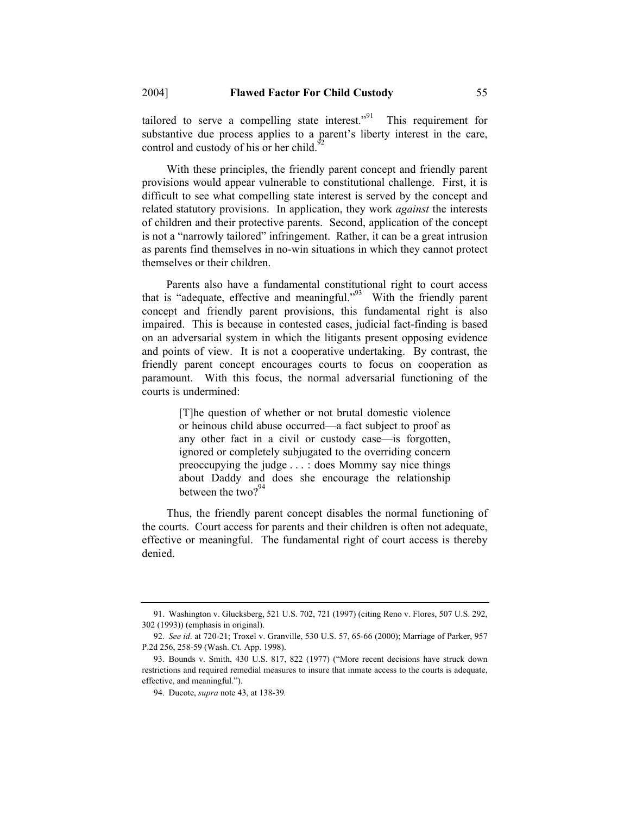tailored to serve a compelling state interest."<sup>91</sup> This requirement for substantive due process applies to a parent's liberty interest in the care, control and custody of his or her child.<sup>9</sup>

With these principles, the friendly parent concept and friendly parent provisions would appear vulnerable to constitutional challenge. First, it is difficult to see what compelling state interest is served by the concept and related statutory provisions. In application, they work *against* the interests of children and their protective parents. Second, application of the concept is not a "narrowly tailored" infringement. Rather, it can be a great intrusion as parents find themselves in no-win situations in which they cannot protect themselves or their children.

Parents also have a fundamental constitutional right to court access that is "adequate, effective and meaningful."<sup>93</sup> With the friendly parent concept and friendly parent provisions, this fundamental right is also impaired. This is because in contested cases, judicial fact-finding is based on an adversarial system in which the litigants present opposing evidence and points of view. It is not a cooperative undertaking. By contrast, the friendly parent concept encourages courts to focus on cooperation as paramount. With this focus, the normal adversarial functioning of the courts is undermined:

> [T]he question of whether or not brutal domestic violence or heinous child abuse occurred—a fact subject to proof as any other fact in a civil or custody case—is forgotten, ignored or completely subjugated to the overriding concern preoccupying the judge . . . : does Mommy say nice things about Daddy and does she encourage the relationship between the two? $94$

Thus, the friendly parent concept disables the normal functioning of the courts. Court access for parents and their children is often not adequate, effective or meaningful. The fundamental right of court access is thereby denied.

 <sup>91.</sup> Washington v. Glucksberg, 521 U.S. 702, 721 (1997) (citing Reno v. Flores, 507 U.S. 292, 302 (1993)) (emphasis in original).

 <sup>92.</sup> *See id*. at 720-21; Troxel v. Granville, 530 U.S. 57, 65-66 (2000); Marriage of Parker, 957 P.2d 256, 258-59 (Wash. Ct. App. 1998).

 <sup>93.</sup> Bounds v. Smith, 430 U.S. 817, 822 (1977) ("More recent decisions have struck down restrictions and required remedial measures to insure that inmate access to the courts is adequate, effective, and meaningful.").

 <sup>94.</sup> Ducote, *supra* note 43, at 138-39*.*